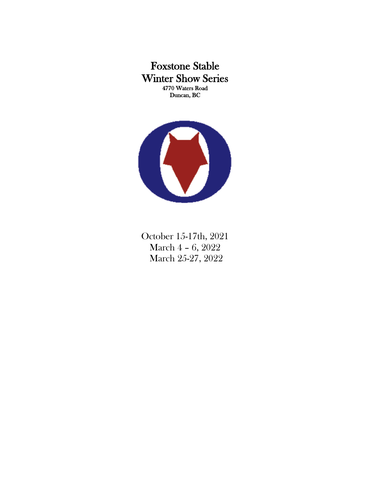Foxstone Stable Winter Show Series 4770 Waters Road Duncan, BC



October 15-17th, 2021 March 4 – 6, 2022 March 25-27, 2022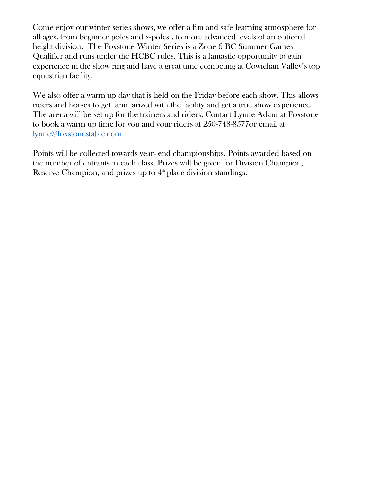Come enjoy our winter series shows, we offer a fun and safe learning atmosphere for all ages, from beginner poles and x-poles , to more advanced levels of an optional height division. The Foxstone Winter Series is a Zone 6 BC Summer Games Qualifier and runs under the HCBC rules. This is a fantastic opportunity to gain experience in the show ring and have a great time competing at Cowichan Valley's top equestrian facility.

We also offer a warm up day that is held on the Friday before each show. This allows riders and horses to get familiarized with the facility and get a true show experience. The arena will be set up for the trainers and riders. Contact Lynne Adam at Foxstone to book a warm up time for you and your riders at 250-748-8577or email at [lynne@foxstonestable.com](mailto:lynne@foxstonestable.com)

Points will be collected towards year- end championships. Points awarded based on the number of entrants in each class. Prizes will be given for Division Champion, Reserve Champion, and prizes up to  $4<sup>th</sup>$  place division standings.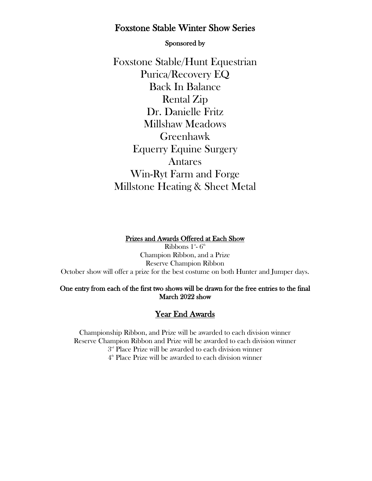# Foxstone Stable Winter Show Series

Sponsored by

Foxstone Stable/Hunt Equestrian Purica/Recovery EQ Back In Balance Rental Zip Dr. Danielle Fritz Millshaw Meadows Greenhawk Equerry Equine Surgery Antares Win-Ryt Farm and Forge Millstone Heating & Sheet Metal

#### Prizes and Awards Offered at Each Show

Ribbons  $1^{\text{\tiny{st}}}\text{-}6^{\text{\tiny{th}}}$ Champion Ribbon, and a Prize Reserve Champion Ribbon October show will offer a prize for the best costume on both Hunter and Jumper days.

### One entry from each of the first two shows will be drawn for the free entries to the final March 2022 show

## Year End Awards

Championship Ribbon, and Prize will be awarded to each division winner Reserve Champion Ribbon and Prize will be awarded to each division winner  $3^{\hbox{\tiny\rm nd}}$  Place Prize will be awarded to each division winner

4 th Place Prize will be awarded to each division winner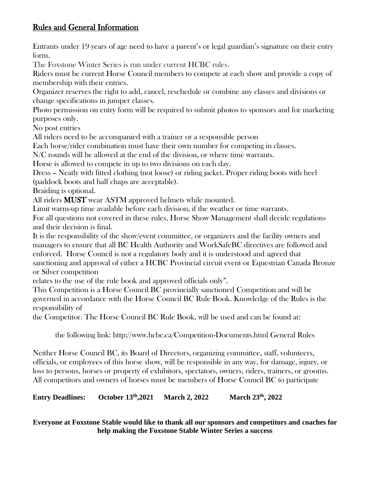## Rules and General Information

Entrants under 19 years of age need to have a parent's or legal guardian's signature on their entry form.

The Foxstone Winter Series is run under current HCBC rules.

Riders must be current Horse Council members to compete at each show and provide a copy of membership with their entries.

Organizer reserves the right to add, cancel, reschedule or combine any classes and divisions or change specifications in jumper classes.

Photo permission on entry form will be required to submit photos to sponsors and for marketing purposes only.

No post entries

All riders need to be accompanied with a trainer or a responsible person

Each horse/rider combination must have their own number for competing in classes.

N/C rounds will be allowed at the end of the division, or where time warrants.

Horse is allowed to compete in up to two divisions on each day.

Dress – Neatly with fitted clothing (not loose) or riding jacket. Proper riding boots with heel (paddock boots and half chaps are acceptable).

Braiding is optional.

All riders **MUST** wear ASTM approved helmets while mounted.

Limit warm-up time available before each division, if the weather or time warrants.

For all questions not covered in these rules, Horse Show Management shall decide regulations and their decision is final.

It is the responsibility of the show/event committee, or organizers and the facility owners and managers to ensure that all BC Health Authority and WorkSafeBC directives are followed and enforced. Horse Council is not a regulatory body and it is understood and agreed that sanctioning and approval of either a HCBC Provincial circuit event or Equestrian Canada Bronze or Silver competition

relates to the use of the rule book and approved officials only".

This Competition is a Horse Council BC provincially sanctioned Competition and will be governed in accordance with the Horse Council BC Rule Book. Knowledge of the Rules is the responsibility of

the Competitor. The Horse Council BC Rule Book, will be used and can be found at:

the following link: http://www.hcbc.ca/Competition-Documents.html General Rules

Neither Horse Council BC, its Board of Directors, organizing committee, staff, volunteers, officials, or employees of this horse show, will be responsible in any way, for damage, injury, or loss to persons, horses or property of exhibitors, spectators, owners, riders, trainers, or grooms. All competitors and owners of horses must be members of Horse Council BC to participate

**Entry Deadlines: October 13th,2021 March 2, 2022 March 23th, 2022**

**Everyone at Foxstone Stable would like to thank all our sponsors and competitors and coaches for help making the Foxstone Stable Winter Series a success**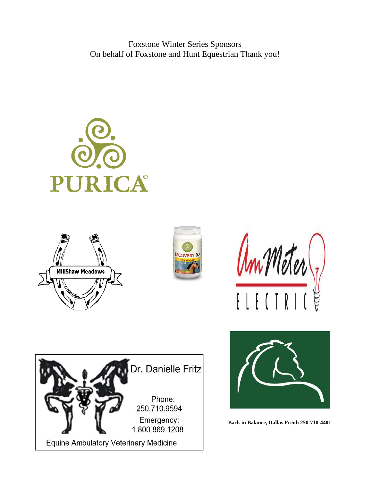Foxstone Winter Series Sponsors On behalf of Foxstone and Hunt Equestrian Thank you!













**Back in Balance, Dallas Freuh 250-710-4401**